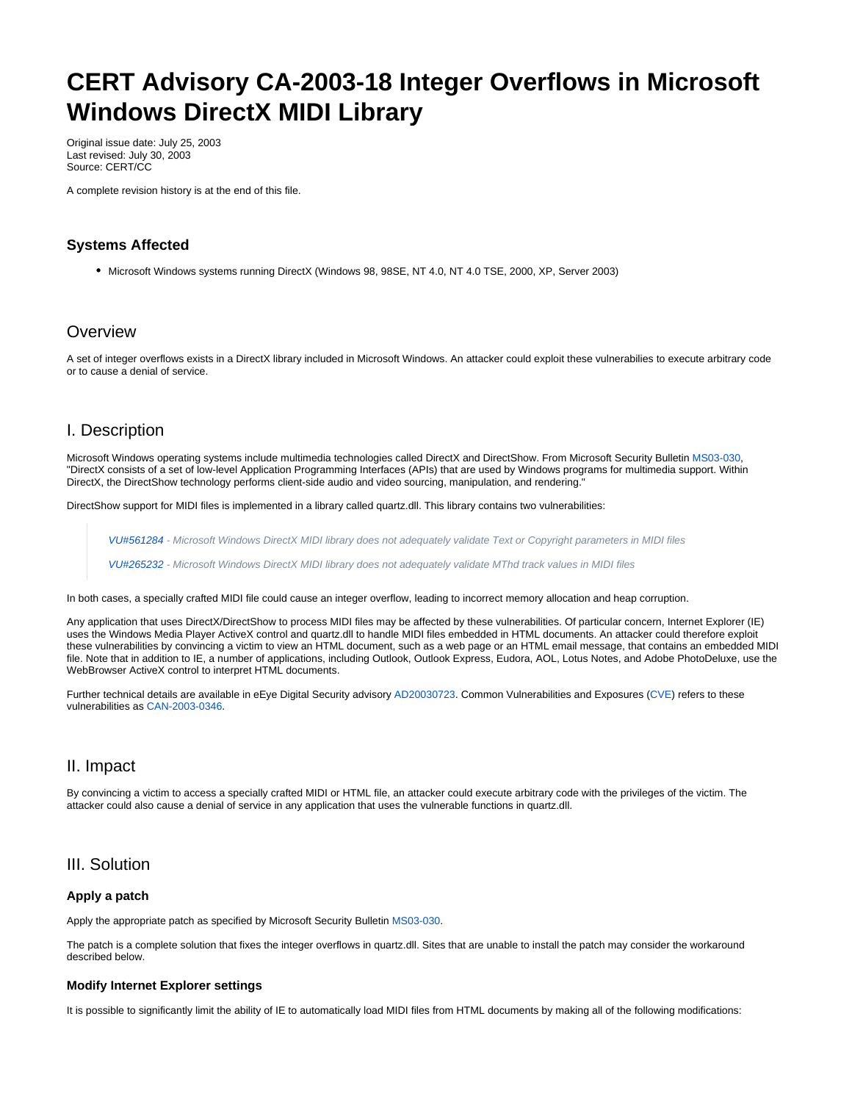# **CERT Advisory CA-2003-18 Integer Overflows in Microsoft Windows DirectX MIDI Library**

Original issue date: July 25, 2003 Last revised: July 30, 2003 Source: CERT/CC

A complete revision history is at the end of this file.

### **Systems Affected**

Microsoft Windows systems running DirectX (Windows 98, 98SE, NT 4.0, NT 4.0 TSE, 2000, XP, Server 2003)

## **Overview**

A set of integer overflows exists in a DirectX library included in Microsoft Windows. An attacker could exploit these vulnerabilies to execute arbitrary code or to cause a denial of service.

## I. Description

Microsoft Windows operating systems include multimedia technologies called DirectX and DirectShow. From Microsoft Security Bulletin [MS03-030](http://microsoft.com/technet/security/bulletin/MS03-030.asp), "DirectX consists of a set of low-level Application Programming Interfaces (APIs) that are used by Windows programs for multimedia support. Within DirectX, the DirectShow technology performs client-side audio and video sourcing, manipulation, and rendering."

DirectShow support for MIDI files is implemented in a library called quartz.dll. This library contains two vulnerabilities:

[VU#561284](http://www.kb.cert.org/vuls/id/561284) - Microsoft Windows DirectX MIDI library does not adequately validate Text or Copyright parameters in MIDI files

[VU#265232](http://www.kb.cert.org/vuls/id/265232) - Microsoft Windows DirectX MIDI library does not adequately validate MThd track values in MIDI files

In both cases, a specially crafted MIDI file could cause an integer overflow, leading to incorrect memory allocation and heap corruption.

Any application that uses DirectX/DirectShow to process MIDI files may be affected by these vulnerabilities. Of particular concern, Internet Explorer (IE) uses the Windows Media Player ActiveX control and quartz.dll to handle MIDI files embedded in HTML documents. An attacker could therefore exploit these vulnerabilities by convincing a victim to view an HTML document, such as a web page or an HTML email message, that contains an embedded MIDI file. Note that in addition to IE, a number of applications, including Outlook, Outlook Express, Eudora, AOL, Lotus Notes, and Adobe PhotoDeluxe, use the WebBrowser ActiveX control to interpret HTML documents.

Further technical details are available in eEye Digital Security advisory [AD20030723](http://www.eeye.com/html/Research/Advisories/AD20030723.html). Common Vulnerabilities and Exposures [\(CVE\)](http://cve.mitre.org/) refers to these vulnerabilities as [CAN-2003-0346.](http://cve.mitre.org/cgi-bin/cvename.cgi?name=CAN-2003-00346)

## II. Impact

By convincing a victim to access a specially crafted MIDI or HTML file, an attacker could execute arbitrary code with the privileges of the victim. The attacker could also cause a denial of service in any application that uses the vulnerable functions in quartz.dll.

## III. Solution

#### **Apply a patch**

Apply the appropriate patch as specified by Microsoft Security Bulletin [MS03-030](http://microsoft.com/technet/security/bulletin/MS03-030.asp).

The patch is a complete solution that fixes the integer overflows in quartz.dll. Sites that are unable to install the patch may consider the workaround described below.

#### **Modify Internet Explorer settings**

It is possible to significantly limit the ability of IE to automatically load MIDI files from HTML documents by making all of the following modifications: